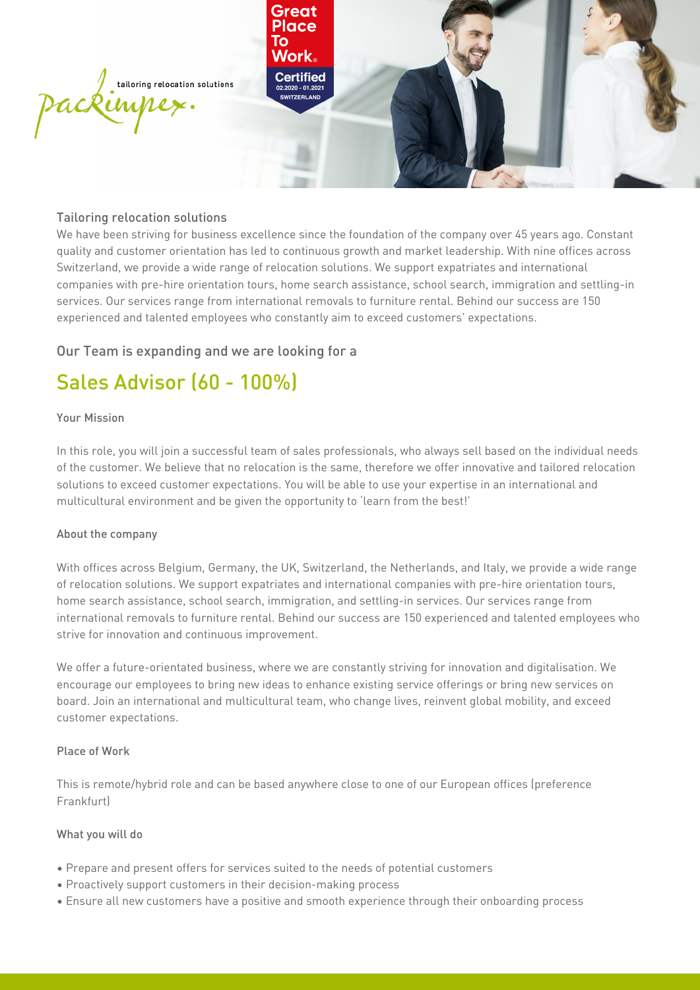

# Tailoring relocation solutions

We have been striving for business excellence since the foundation of the company over 45 years ago. Constant quality and customer orientation has led to continuous growth and market leadership. With nine offices across Switzerland, we provide a wide range of relocation solutions. We support expatriates and international companies with pre-hire orientation tours, home search assistance, school search, immigration and settling-in services. Our services range from international removals to furniture rental. Behind our success are 150 experienced and talented employees who constantly aim to exceed customers' expectations.

# Our Team is expanding and we are looking for a

# Sales Advisor (60 - 100%)

#### Your Mission

In this role, you will join a successful team of sales professionals, who always sell based on the individual needs of the customer. We believe that no relocation is the same, therefore we offer innovative and tailored relocation solutions to exceed customer expectations. You will be able to use your expertise in an international and multicultural environment and be given the opportunity to 'learn from the best!'

## About the company

With offices across Belgium, Germany, the UK, Switzerland, the Netherlands, and Italy, we provide a wide range of relocation solutions. We support expatriates and international companies with pre-hire orientation tours, home search assistance, school search, immigration, and settling-in services. Our services range from international removals to furniture rental. Behind our success are 150 experienced and talented employees who strive for innovation and continuous improvement.

We offer a future-orientated business, where we are constantly striving for innovation and digitalisation. We encourage our employees to bring new ideas to enhance existing service offerings or bring new services on board. Join an international and multicultural team, who change lives, reinvent global mobility, and exceed customer expectations.

#### Place of Work

This is remote/hybrid role and can be based anywhere close to one of our European offices (preference Frankfurt)

## What you will do

- • Prepare and present offers for services suited to the needs of potential customers
- • Proactively support customers in their decision-making process
- • Ensure all new customers have a positive and smooth experience through their onboarding process